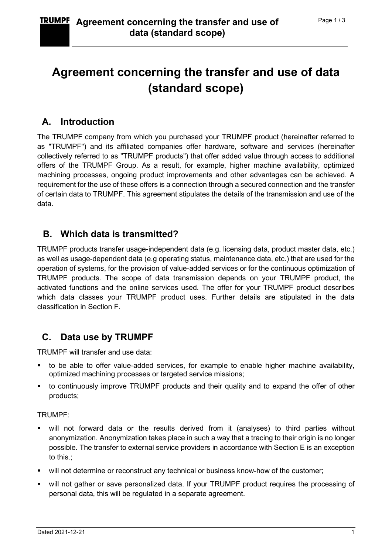# Agreement concerning the transfer and use of data (standard scope)

# A. Introduction

The TRUMPF company from which you purchased your TRUMPF product (hereinafter referred to as "TRUMPF") and its affiliated companies offer hardware, software and services (hereinafter collectively referred to as "TRUMPF products") that offer added value through access to additional offers of the TRUMPF Group. As a result, for example, higher machine availability, optimized machining processes, ongoing product improvements and other advantages can be achieved. A requirement for the use of these offers is a connection through a secured connection and the transfer of certain data to TRUMPF. This agreement stipulates the details of the transmission and use of the data.

# B. Which data is transmitted?

TRUMPF products transfer usage-independent data (e.g. licensing data, product master data, etc.) as well as usage-dependent data (e.g operating status, maintenance data, etc.) that are used for the operation of systems, for the provision of value-added services or for the continuous optimization of TRUMPF products. The scope of data transmission depends on your TRUMPF product, the activated functions and the online services used. The offer for your TRUMPF product describes which data classes your TRUMPF product uses. Further details are stipulated in the data classification in Section F.

# C. Data use by TRUMPF

TRUMPF will transfer and use data:

- to be able to offer value-added services, for example to enable higher machine availability, optimized machining processes or targeted service missions;
- to continuously improve TRUMPF products and their quality and to expand the offer of other products;

#### TRUMPF:

- will not forward data or the results derived from it (analyses) to third parties without anonymization. Anonymization takes place in such a way that a tracing to their origin is no longer possible. The transfer to external service providers in accordance with Section E is an exception to this.;
- will not determine or reconstruct any technical or business know-how of the customer;
- will not gather or save personalized data. If your TRUMPF product requires the processing of personal data, this will be regulated in a separate agreement.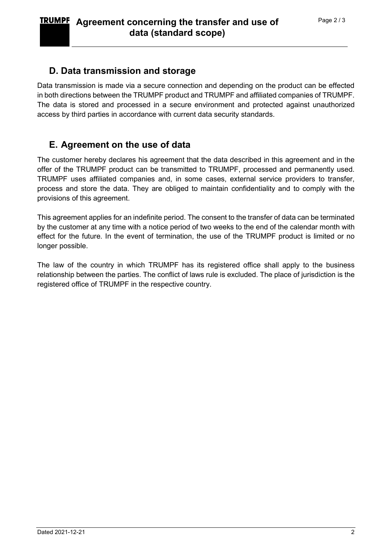### D. Data transmission and storage

Data transmission is made via a secure connection and depending on the product can be effected in both directions between the TRUMPF product and TRUMPF and affiliated companies of TRUMPF. The data is stored and processed in a secure environment and protected against unauthorized access by third parties in accordance with current data security standards.

### E. Agreement on the use of data

The customer hereby declares his agreement that the data described in this agreement and in the offer of the TRUMPF product can be transmitted to TRUMPF, processed and permanently used. TRUMPF uses affiliated companies and, in some cases, external service providers to transfer, process and store the data. They are obliged to maintain confidentiality and to comply with the provisions of this agreement.

This agreement applies for an indefinite period. The consent to the transfer of data can be terminated by the customer at any time with a notice period of two weeks to the end of the calendar month with effect for the future. In the event of termination, the use of the TRUMPF product is limited or no longer possible.

The law of the country in which TRUMPF has its registered office shall apply to the business relationship between the parties. The conflict of laws rule is excluded. The place of jurisdiction is the registered office of TRUMPF in the respective country.